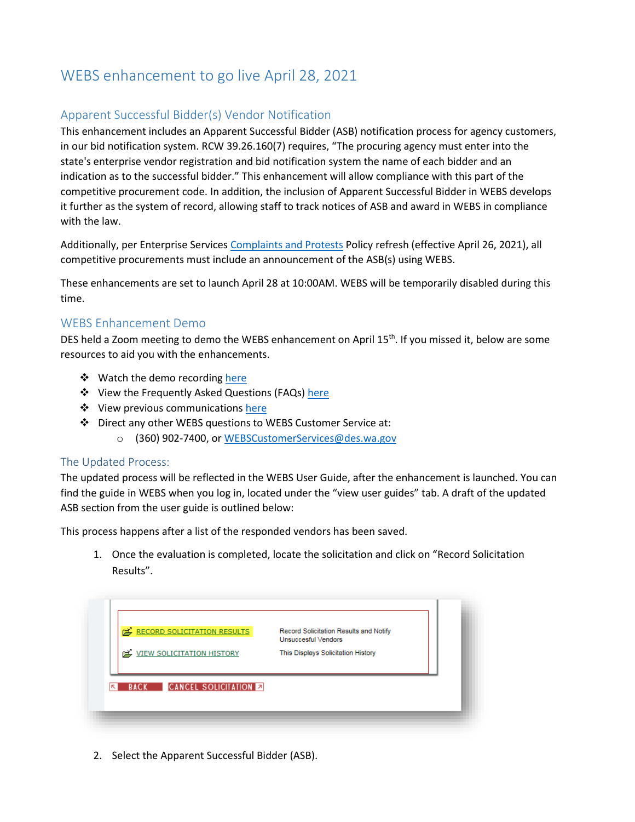## WEBS enhancement to go live April 28, 2021

## Apparent Successful Bidder(s) Vendor Notification

This enhancement includes an Apparent Successful Bidder (ASB) notification process for agency customers, in our bid notification system. RCW 39.26.160(7) requires, "The procuring agency must enter into the state's enterprise vendor registration and bid notification system the name of each bidder and an indication as to the successful bidder." This enhancement will allow compliance with this part of the competitive procurement code. In addition, the inclusion of Apparent Successful Bidder in WEBS develops it further as the system of record, allowing staff to track notices of ASB and award in WEBS in compliance with the law.

Additionally, per Enterprise Services [Complaints and Protests](https://des.wa.gov/sites/default/files/public/documents/About/Procurement_reform/Policies/DES-170-00ComplaintsProtests.pdf) Policy refresh (effective April 26, 2021), all competitive procurements must include an announcement of the ASB(s) using WEBS.

These enhancements are set to launch April 28 at 10:00AM. WEBS will be temporarily disabled during this time.

## WEBS Enhancement Demo

DES held a Zoom meeting to demo the WEBS enhancement on April 15<sup>th</sup>. If you missed it, below are some resources to aid you with the enhancements.

- ❖ Watch the demo recording [here](https://www.youtube.com/watch?v=Zb5ahQ_Wgis)
- ❖ View the Frequently Asked Questions (FAQs[\) here](https://des.wa.gov/sites/default/files/public/documents/ContractingPurchasing/WEBS/WEBS-ASB-Enhancement-FAQ.pdf)
- ❖ View previous communication[s here](https://des.wa.gov/services/contracting-purchasing/webs-government-and-non-profits)
- Direct any other WEBS questions to WEBS Customer Service at:
	- (360) 902-7400, or [WEBSCustomerServices@des.wa.gov](mailto:WEBSCustomerServices@des.wa.gov)

## The Updated Process:

The updated process will be reflected in the WEBS User Guide, after the enhancement is launched. You can find the guide in WEBS when you log in, located under the "view user guides" tab. A draft of the updated ASB section from the user guide is outlined below:

This process happens after a list of the responded vendors has been saved.

1. Once the evaluation is completed, locate the solicitation and click on "Record Solicitation Results".



2. Select the Apparent Successful Bidder (ASB).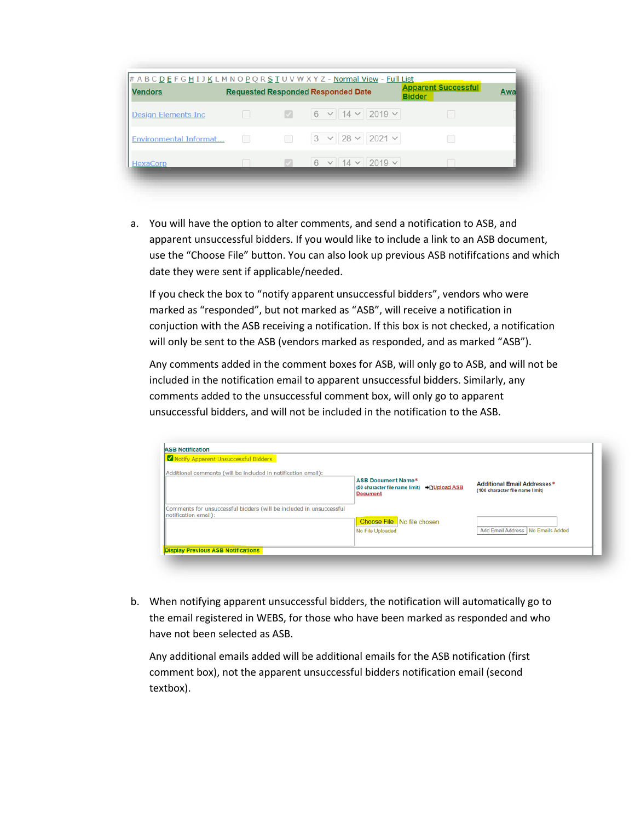| <b>Vendors</b>             |  | <b>Requested Responded Responded Date</b> | <b>Apparent Successful</b><br><b>Bidder</b> | Awa |
|----------------------------|--|-------------------------------------------|---------------------------------------------|-----|
| <b>Design Elements Inc</b> |  |                                           |                                             |     |
| Environmental Informat     |  | $3 \times 28 \times 2021 \times$          |                                             |     |
| <b>HexaCorp</b>            |  | $6 \times 14 \times 2019 \times$          |                                             |     |

a. You will have the option to alter comments, and send a notification to ASB, and apparent unsuccessful bidders. If you would like to include a link to an ASB document, use the "Choose File" button. You can also look up previous ASB notififcations and which date they were sent if applicable/needed.

If you check the box to "notify apparent unsuccessful bidders", vendors who were marked as "responded", but not marked as "ASB", will receive a notification in conjuction with the ASB receiving a notification. If this box is not checked, a notification will only be sent to the ASB (vendors marked as responded, and as marked "ASB").

Any comments added in the comment boxes for ASB, will only go to ASB, and will not be included in the notification email to apparent unsuccessful bidders. Similarly, any comments added to the unsuccessful comment box, will only go to apparent unsuccessful bidders, and will not be included in the notification to the ASB.

| Notify Apparent Unsuccessful Bidders                                                        |                                                                                               |                                                                |
|---------------------------------------------------------------------------------------------|-----------------------------------------------------------------------------------------------|----------------------------------------------------------------|
| Additional comments (will be included in notification email):                               | <b>ASB Document Name*</b><br>(50 character file name limit) → [JUpload ASB<br><b>Document</b> | Additional Email Addresses*<br>(100 character file name limit) |
| Comments for unsuccessful bidders (will be included in unsuccessful<br>notification email): | <b>Choose File</b> No file chosen<br>No File Uploaded                                         | Add Email Address No Emails Added                              |

b. When notifying apparent unsuccessful bidders, the notification will automatically go to the email registered in WEBS, for those who have been marked as responded and who have not been selected as ASB.

Any additional emails added will be additional emails for the ASB notification (first comment box), not the apparent unsuccessful bidders notification email (second textbox).